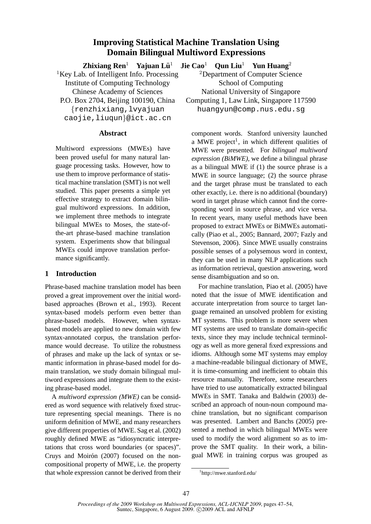# **Improving Statistical Machine Translation Using Domain Bilingual Multiword Expressions**

**Zhixiang Ren**<sup>1</sup> **Yajuan Lu¨**

P.O. Box 2704, Beijing 100190, China Computing 1, Law Link, Singapore 117590

caojie,liuqun}@ict.ac.cn

### **Abstract**

Multiword expressions (MWEs) have been proved useful for many natural language processing tasks. However, how to use them to improve performance of statistical machine translation (SMT) is not well studied. This paper presents a simple yet effective strategy to extract domain bilingual multiword expressions. In addition, we implement three methods to integrate bilingual MWEs to Moses, the state-ofthe-art phrase-based machine translation system. Experiments show that bilingual MWEs could improve translation performance significantly.

## **1 Introduction**

Phrase-based machine translation model has been proved a great improvement over the initial wordbased approaches (Brown et al., 1993). Recent syntax-based models perform even better than phrase-based models. However, when syntaxbased models are applied to new domain with few syntax-annotated corpus, the translation performance would decrease. To utilize the robustness of phrases and make up the lack of syntax or semantic information in phrase-based model for domain translation, we study domain bilingual multiword expressions and integrate them to the existing phrase-based model.

A *multiword expression (MWE)* can be considered as word sequence with relatively fixed structure representing special meanings. There is no uniform definition of MWE, and many researchers give different properties of MWE. Sag et al. (2002) roughly defined MWE as "idiosyncratic interpretations that cross word boundaries (or spaces)". Cruys and Moirón (2007) focused on the noncompositional property of MWE, i.e. the property that whole expression cannot be derived from their

<sup>1</sup> **Jie Cao**<sup>1</sup> **Qun Liu**<sup>1</sup> **Yun Huang**<sup>2</sup>

<sup>1</sup>Key Lab. of Intelligent Info. Processing  $\qquad_{2}^{2}$ Department of Computer Science Institute of Computing Technology School of Computing Chinese Academy of Sciences National University of Singapore

{renzhixiang,lvyajuan huangyun@comp.nus.edu.sg

component words. Stanford university launched a MWE project<sup>1</sup>, in which different qualities of MWE were presented. For *bilingual multiword expression (BiMWE)*, we define a bilingual phrase as a bilingual MWE if (1) the source phrase is a MWE in source language; (2) the source phrase and the target phrase must be translated to each other exactly, i.e. there is no additional (boundary) word in target phrase which cannot find the corresponding word in source phrase, and vice versa. In recent years, many useful methods have been proposed to extract MWEs or BiMWEs automatically (Piao et al., 2005; Bannard, 2007; Fazly and Stevenson, 2006). Since MWE usually constrains possible senses of a polysemous word in context, they can be used in many NLP applications such as information retrieval, question answering, word sense disambiguation and so on.

For machine translation, Piao et al. (2005) have noted that the issue of MWE identification and accurate interpretation from source to target language remained an unsolved problem for existing MT systems. This problem is more severe when MT systems are used to translate domain-specific texts, since they may include technical terminology as well as more general fixed expressions and idioms. Although some MT systems may employ a machine-readable bilingual dictionary of MWE, it is time-consuming and inefficient to obtain this resource manually. Therefore, some researchers have tried to use automatically extracted bilingual MWEs in SMT. Tanaka and Baldwin (2003) described an approach of noun-noun compound machine translation, but no significant comparison was presented. Lambert and Banchs (2005) presented a method in which bilingual MWEs were used to modify the word alignment so as to improve the SMT quality. In their work, a bilingual MWE in training corpus was grouped as

<sup>1</sup> http://mwe.stanford.edu/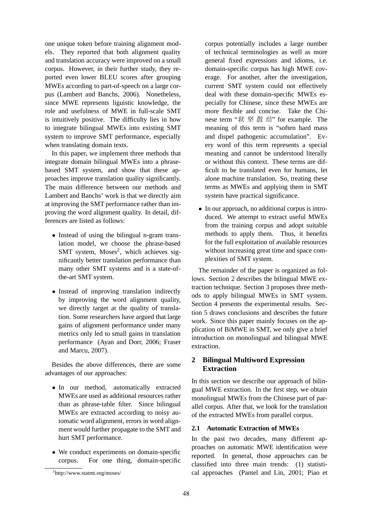one unique token before training alignment models. They reported that both alignment quality and translation accuracy were improved on a small corpus. However, in their further study, they reported even lower BLEU scores after grouping MWEs according to part-of-speech on a large corpus (Lambert and Banchs, 2006). Nonetheless, since MWE represents liguistic knowledge, the role and usefulness of MWE in full-scale SMT is intuitively positive. The difficulty lies in how to integrate bilingual MWEs into existing SMT system to improve SMT performance, especially when translating domain texts.

In this paper, we implement three methods that integrate domain bilingual MWEs into a phrasebased SMT system, and show that these approaches improve translation quality significantly. The main difference between our methods and Lambert and Banchs' work is that we directly aim at improving the SMT performance rather than improving the word alignment quality. In detail, differences are listed as follows:

- Instead of using the bilingual n-gram translation model, we choose the phrase-based SMT system, Moses<sup>2</sup>, which achieves significantly better translation performance than many other SMT systems and is a state-ofthe-art SMT system.
- Instead of improving translation indirectly by improving the word alignment quality, we directly target at the quality of translation. Some researchers have argued that large gains of alignment performance under many metrics only led to small gains in translation performance (Ayan and Dorr, 2006; Fraser and Marcu, 2007).

Besides the above differences, there are some advantages of our approaches:

- In our method, automatically extracted MWEs are used as additional resources rather than as phrase-table filter. Since bilingual MWEs are extracted according to noisy automatic word alignment, errors in word alignment would further propagate to the SMT and hurt SMT performance.
- We conduct experiments on domain-specific corpus. For one thing, domain-specific For one thing, domain-specific

corpus potentially includes a large number of technical terminologies as well as more general fixed expressions and idioms, i.e. domain-specific corpus has high MWE coverage. For another, after the investigation, current SMT system could not effectively deal with these domain-specific MWEs especially for Chinese, since these MWEs are more flexible and concise. Take the Chinese term " $\mathcal{H} \not\cong \mathcal{H}$   $\mathcal{H}$ " for example. The meaning of this term is "soften hard mass and dispel pathogenic accumulation". Every word of this term represents a special meaning and cannot be understood literally or without this context. These terms are difficult to be translated even for humans, let alone machine translation. So, treating these terms as MWEs and applying them in SMT system have practical significance.

• In our approach, no additional corpus is introduced. We attempt to extract useful MWEs from the training corpus and adopt suitable methods to apply them. Thus, it benefits for the full exploitation of available resources without increasing great time and space complexities of SMT system.

The remainder of the paper is organized as follows. Section 2 describes the bilingual MWE extraction technique. Section 3 proposes three methods to apply bilingual MWEs in SMT system. Section 4 presents the experimental results. Section 5 draws conclusions and describes the future work. Since this paper mainly focuses on the application of BiMWE in SMT, we only give a brief introduction on monolingual and bilingual MWE extraction.

## **2 Bilingual Multiword Expression Extraction**

In this section we describe our approach of bilingual MWE extraction. In the first step, we obtain monolingual MWEs from the Chinese part of parallel corpus. After that, we look for the translation of the extracted MWEs from parallel corpus.

#### **2.1 Automatic Extraction of MWEs**

In the past two decades, many different approaches on automatic MWE identification were reported. In general, those approaches can be classified into three main trends: (1) statistical approaches (Pantel and Lin, 2001; Piao et

<sup>2</sup> http://www.statmt.org/moses/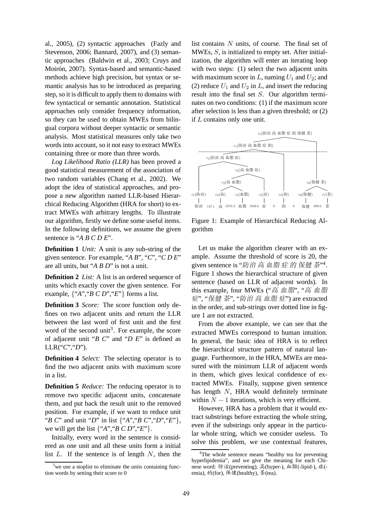al., 2005), (2) syntactic approaches (Fazly and Stevenson, 2006; Bannard, 2007), and (3) semantic approaches (Baldwin et al., 2003; Cruys and Moirón, 2007). Syntax-based and semantic-based methods achieve high precision, but syntax or semantic analysis has to be introduced as preparing step, so it is difficult to apply them to domains with few syntactical or semantic annotation. Statistical approaches only consider frequency information, so they can be used to obtain MWEs from bilingual corpora without deeper syntactic or semantic analysis. Most statistical measures only take two words into account, so it not easy to extract MWEs containing three or more than three words.

*Log Likelihood Ratio (LLR)* has been proved a good statistical measurement of the association of two random variables (Chang et al., 2002). We adopt the idea of statistical approaches, and propose a new algorithm named LLR-based Hierarchical Reducing Algorithm (HRA for short) to extract MWEs with arbitrary lengths. To illustrate our algorithm, firstly we define some useful items. In the following definitions, we assume the given sentence is "*A B C D E*".

**Definition 1** *Unit:* A unit is any sub-string of the given sentence. For example, "*A B*", "*C*", "*C D E*" are all units, but "*A B D*" is not a unit.

**Definition 2** *List:* A list is an ordered sequence of units which exactly cover the given sentence. For example, {"*A*","*B C D*","*E*"} forms a list.

**Definition 3** *Score:* The score function only defines on two adjacent units and return the LLR between the last word of first unit and the first word of the second unit<sup>3</sup>. For example, the score of adjacent unit "*B C*" and "*D E*" is defined as  $LLR("C", "D").$ 

**Definition 4** *Select:* The selecting operator is to find the two adjacent units with maximum score in a list.

**Definition 5** *Reduce:* The reducing operator is to remove two specific adjacent units, concatenate them, and put back the result unit to the removed position. For example, if we want to reduce unit "*B C*" and unit "*D*" in list {"*A*","*B C*","*D*","*E*"}, we will get the list  $\{``A", "B \ C \ D", "E"\}.$ 

Initially, every word in the sentence is considered as one unit and all these units form a initial list  $L$ . If the sentence is of length  $N$ , then the list contains N units, of course. The final set of MWEs, S, is initialized to empty set. After initialization, the algorithm will enter an iterating loop with two steps: (1) select the two adjacent units with maximum score in L, naming  $U_1$  and  $U_2$ ; and (2) reduce  $U_1$  and  $U_2$  in L, and insert the reducing result into the final set S. Our algorithm terminates on two conditions: (1) if the maximum score after selection is less than a given threshold; or (2) if L contains only one unit.



Figure 1: Example of Hierarchical Reducing Algorithm

Let us make the algorithm clearer with an example. Assume the threshold of score is 20, the given sentence is "防治 高 血脂 症 的 保健 茶"<sup>4</sup>. Figure 1 shows the hierarchical structure of given sentence (based on LLR of adjacent words). In this example, four MWEs ("高 血脂", "高 血脂 症", "保健 茶", "防治 高 血脂 症") are extracted in the order, and sub-strings over dotted line in figure 1 are not extracted.

From the above example, we can see that the extracted MWEs correspond to human intuition. In general, the basic idea of HRA is to reflect the hierarchical structure pattern of natural language. Furthermore, in the HRA, MWEs are measured with the minimum LLR of adjacent words in them, which gives lexical confidence of extracted MWEs. Finally, suppose given sentence has length N, HRA would definitely terminate within  $N - 1$  iterations, which is very efficient.

However, HRA has a problem that it would extract substrings before extracting the whole string, even if the substrings only appear in the particular whole string, which we consider useless. To solve this problem, we use contextual features,

 $3$  we use a stoplist to eliminate the units containing function words by setting their score to 0

<sup>&</sup>lt;sup>4</sup>The whole sentence means "healthy tea for preventing" hyperlipidemia", and we give the meaning for each Chinese word: 防治(preventing), 高(hyper-), 血脂(-lipid-), 症(emia), 的(for), 保健(healthy), 茶(tea).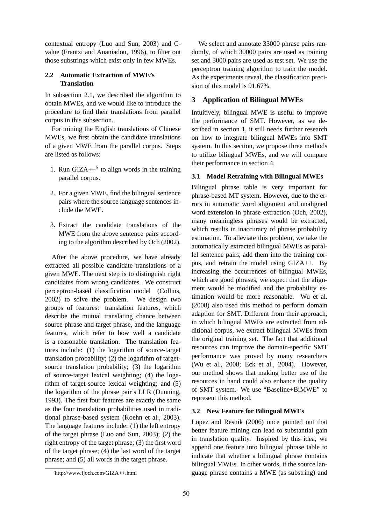contextual entropy (Luo and Sun, 2003) and Cvalue (Frantzi and Ananiadou, 1996), to filter out those substrings which exist only in few MWEs.

## **2.2 Automatic Extraction of MWE's Translation**

In subsection 2.1, we described the algorithm to obtain MWEs, and we would like to introduce the procedure to find their translations from parallel corpus in this subsection.

For mining the English translations of Chinese MWEs, we first obtain the candidate translations of a given MWE from the parallel corpus. Steps are listed as follows:

- 1. Run GIZA $++^5$  to align words in the training parallel corpus.
- 2. For a given MWE, find the bilingual sentence pairs where the source language sentences include the MWE.
- 3. Extract the candidate translations of the MWE from the above sentence pairs according to the algorithm described by Och (2002).

After the above procedure, we have already extracted all possible candidate translations of a given MWE. The next step is to distinguish right candidates from wrong candidates. We construct perceptron-based classification model (Collins, 2002) to solve the problem. We design two groups of features: translation features, which describe the mutual translating chance between source phrase and target phrase, and the language features, which refer to how well a candidate is a reasonable translation. The translation features include: (1) the logarithm of source-target translation probability; (2) the logarithm of targetsource translation probability; (3) the logarithm of source-target lexical weighting; (4) the logarithm of target-source lexical weighting; and (5) the logarithm of the phrase pair's LLR (Dunning, 1993). The first four features are exactly the same as the four translation probabilities used in traditional phrase-based system (Koehn et al., 2003). The language features include: (1) the left entropy of the target phrase (Luo and Sun, 2003); (2) the right entropy of the target phrase; (3) the first word of the target phrase; (4) the last word of the target phrase; and (5) all words in the target phrase.

We select and annotate 33000 phrase pairs randomly, of which 30000 pairs are used as training set and 3000 pairs are used as test set. We use the perceptron training algorithm to train the model. As the experiments reveal, the classification precision of this model is 91.67%.

## **3 Application of Bilingual MWEs**

Intuitively, bilingual MWE is useful to improve the performance of SMT. However, as we described in section 1, it still needs further research on how to integrate bilingual MWEs into SMT system. In this section, we propose three methods to utilize bilingual MWEs, and we will compare their performance in section 4.

## **3.1 Model Retraining with Bilingual MWEs**

Bilingual phrase table is very important for phrase-based MT system. However, due to the errors in automatic word alignment and unaligned word extension in phrase extraction (Och, 2002), many meaningless phrases would be extracted, which results in inaccuracy of phrase probability estimation. To alleviate this problem, we take the automatically extracted bilingual MWEs as parallel sentence pairs, add them into the training corpus, and retrain the model using GIZA++. By increasing the occurrences of bilingual MWEs, which are good phrases, we expect that the alignment would be modified and the probability estimation would be more reasonable. Wu et al. (2008) also used this method to perform domain adaption for SMT. Different from their approach, in which bilingual MWEs are extracted from additional corpus, we extract bilingual MWEs from the original training set. The fact that additional resources can improve the domain-specific SMT performance was proved by many researchers (Wu et al., 2008; Eck et al., 2004). However, our method shows that making better use of the resources in hand could also enhance the quality of SMT system. We use "Baseline+BiMWE" to represent this method.

## **3.2 New Feature for Bilingual MWEs**

Lopez and Resnik (2006) once pointed out that better feature mining can lead to substantial gain in translation quality. Inspired by this idea, we append one feature into bilingual phrase table to indicate that whether a bilingual phrase contains bilingual MWEs. In other words, if the source language phrase contains a MWE (as substring) and

<sup>5</sup> http://www.fjoch.com/GIZA++.html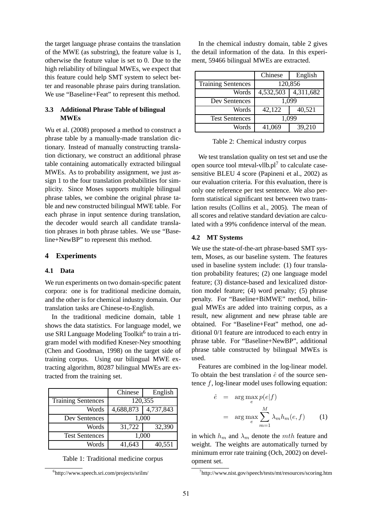the target language phrase contains the translation of the MWE (as substring), the feature value is 1, otherwise the feature value is set to 0. Due to the high reliability of bilingual MWEs, we expect that this feature could help SMT system to select better and reasonable phrase pairs during translation. We use "Baseline+Feat" to represent this method.

## **3.3 Additional Phrase Table of bilingual MWEs**

Wu et al. (2008) proposed a method to construct a phrase table by a manually-made translation dictionary. Instead of manually constructing translation dictionary, we construct an additional phrase table containing automatically extracted bilingual MWEs. As to probability assignment, we just assign 1 to the four translation probabilities for simplicity. Since Moses supports multiple bilingual phrase tables, we combine the original phrase table and new constructed bilingual MWE table. For each phrase in input sentence during translation, the decoder would search all candidate translation phrases in both phrase tables. We use "Baseline+NewBP" to represent this method.

#### **4 Experiments**

#### **4.1 Data**

We run experiments on two domain-specific patent corpora: one is for traditional medicine domain, and the other is for chemical industry domain. Our translation tasks are Chinese-to-English.

In the traditional medicine domain, table 1 shows the data statistics. For language model, we use SRI Language Modeling Toolkit<sup>6</sup> to train a trigram model with modified Kneser-Ney smoothing (Chen and Goodman, 1998) on the target side of training corpus. Using our bilingual MWE extracting algorithm, 80287 bilingual MWEs are extracted from the training set.

|                           | Chinese   | English   |
|---------------------------|-----------|-----------|
| <b>Training Sentences</b> | 120,355   |           |
| Words                     | 4,688,873 | 4,737,843 |
| Dev Sentences             | 1,000     |           |
| Words                     | 31,722    | 32,390    |
| <b>Test Sentences</b>     | 1,000     |           |
| Words                     | 41,643    | 40,551    |

Table 1: Traditional medicine corpus

In the chemical industry domain, table 2 gives the detail information of the data. In this experiment, 59466 bilingual MWEs are extracted.

|                           | Chinese   | English   |
|---------------------------|-----------|-----------|
| <b>Training Sentences</b> | 120,856   |           |
| Words                     | 4,532,503 | 4,311,682 |
| Dev Sentences             | 1,099     |           |
| Words                     | 42,122    | 40,521    |
| <b>Test Sentences</b>     | 1,099     |           |
| Words                     | 41,069    | 39,210    |

Table 2: Chemical industry corpus

We test translation quality on test set and use the open source tool mteval-vllb. $pl<sup>7</sup>$  to calculate casesensitive BLEU 4 score (Papineni et al., 2002) as our evaluation criteria. For this evaluation, there is only one reference per test sentence. We also perform statistical significant test between two translation results (Collins et al., 2005). The mean of all scores and relative standard deviation are calculated with a 99% confidence interval of the mean.

#### **4.2 MT Systems**

We use the state-of-the-art phrase-based SMT system, Moses, as our baseline system. The features used in baseline system include: (1) four translation probability features; (2) one language model feature; (3) distance-based and lexicalized distortion model feature; (4) word penalty; (5) phrase penalty. For "Baseline+BiMWE" method, bilingual MWEs are added into training corpus, as a result, new alignment and new phrase table are obtained. For "Baseline+Feat" method, one additional 0/1 feature are introduced to each entry in phrase table. For "Baseline+NewBP", additional phrase table constructed by bilingual MWEs is used.

Features are combined in the log-linear model. To obtain the best translation  $\hat{e}$  of the source sentence  $f$ , log-linear model uses following equation:

$$
\hat{e} = \arg \max_{e} p(e|f) \n= \arg \max_{e} \sum_{m=1}^{M} \lambda_m h_m(e, f)
$$
\n(1)

in which  $h_m$  and  $\lambda_m$  denote the mth feature and weight. The weights are automatically turned by minimum error rate training (Och, 2002) on development set.

<sup>6</sup> http://www.speech.sri.com/projects/srilm/

<sup>7</sup> http://www.nist.gov/speech/tests/mt/resources/scoring.htm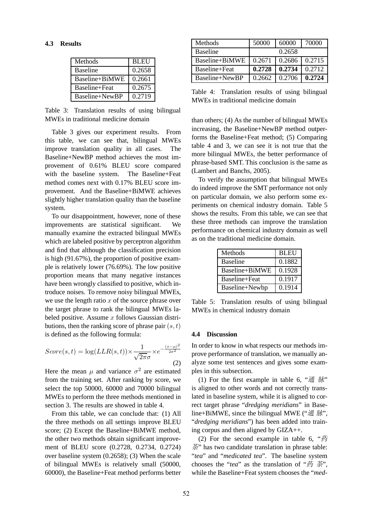#### **4.3 Results**

| Methods         | <b>BLEU</b> |
|-----------------|-------------|
| <b>Baseline</b> | 0.2658      |
| Baseline+BiMWE  | 0.2661      |
| Baseline+Feat   | 0.2675      |
|                 |             |
| Baseline+NewBP  | 0.2719      |

Table 3: Translation results of using bilingual MWEs in traditional medicine domain

Table 3 gives our experiment results. From this table, we can see that, bilingual MWEs improve translation quality in all cases. The Baseline+NewBP method achieves the most improvement of 0.61% BLEU score compared with the baseline system. The Baseline+Feat method comes next with 0.17% BLEU score improvement. And the Baseline+BiMWE achieves slightly higher translation quality than the baseline system.

To our disappointment, however, none of these improvements are statistical significant. We manually examine the extracted bilingual MWEs which are labeled positive by perceptron algorithm and find that although the classification precision is high (91.67%), the proportion of positive example is relatively lower (76.69%). The low positive proportion means that many negative instances have been wrongly classified to positive, which introduce noises. To remove noisy bilingual MWEs, we use the length ratio  $x$  of the source phrase over the target phrase to rank the bilingual MWEs labeled positive. Assume  $x$  follows Gaussian distributions, then the ranking score of phrase pair  $(s, t)$ is defined as the following formula:

$$
Score(s,t) = \log(LLR(s,t)) \times \frac{1}{\sqrt{2\pi}\sigma} \times e^{-\frac{(x-\mu)^2}{2\sigma^2}}
$$
\n(2)

Here the mean  $\mu$  and variance  $\sigma^2$  are estimated from the training set. After ranking by score, we select the top 50000, 60000 and 70000 bilingual MWEs to perform the three methods mentioned in section 3. The results are showed in table 4.

From this table, we can conclude that: (1) All the three methods on all settings improve BLEU score; (2) Except the Baseline+BiMWE method, the other two methods obtain significant improvement of BLEU score (0.2728, 0.2734, 0.2724) over baseline system (0.2658); (3) When the scale of bilingual MWEs is relatively small (50000, 60000), the Baseline+Feat method performs better

| Methods         | 50000  | 60000  | 70000  |
|-----------------|--------|--------|--------|
| <b>Baseline</b> |        | 0.2658 |        |
| Baseline+BiMWE  | 0.2671 | 0.2686 | 0.2715 |
| Baseline+Feat   | 0.2728 | 0.2734 | 0.2712 |
| Baseline+NewBP  | 0.2662 | 0.2706 | 0.2724 |

Table 4: Translation results of using bilingual MWEs in traditional medicine domain

than others; (4) As the number of bilingual MWEs increasing, the Baseline+NewBP method outperforms the Baseline+Feat method; (5) Comparing table 4 and 3, we can see it is not true that the more bilingual MWEs, the better performance of phrase-based SMT. This conclusion is the same as (Lambert and Banchs, 2005).

To verify the assumption that bilingual MWEs do indeed improve the SMT performance not only on particular domain, we also perform some experiments on chemical industry domain. Table 5 shows the results. From this table, we can see that these three methods can improve the translation performance on chemical industry domain as well as on the traditional medicine domain.

| Methods         | <b>BLEU</b> |
|-----------------|-------------|
| <b>Baseline</b> | 0.1882      |
| Baseline+BiMWE  | 0.1928      |
| Baseline+Feat   | 0.1917      |
| Baseline+Newbp  | 0.1914      |

Table 5: Translation results of using bilingual MWEs in chemical industry domain

#### **4.4 Discussion**

In order to know in what respects our methods improve performance of translation, we manually analyze some test sentences and gives some examples in this subsection.

(1) For the first example in table 6, " $\overline{H}$   $\overline{H}$ " is aligned to other words and not correctly translated in baseline system, while it is aligned to correct target phrase "*dredging meridians*" in Baseline+BiMWE, since the bilingual MWE (" $\mathcal{H}$  )  $\mathcal{H}$ ", "*dredging meridians*") has been added into training corpus and then aligned by GIZA++.

(2) For the second example in table 6, " $\ddot{\mathcal{B}}$ 茶" has two candidate translation in phrase table: "*tea*" and "*medicated tea*". The baseline system chooses the "*tea*" as the translation of " $\ddot{\mathfrak{B}} \ddot{\mathfrak{F}}$ ", while the Baseline+Feat system chooses the "*med-*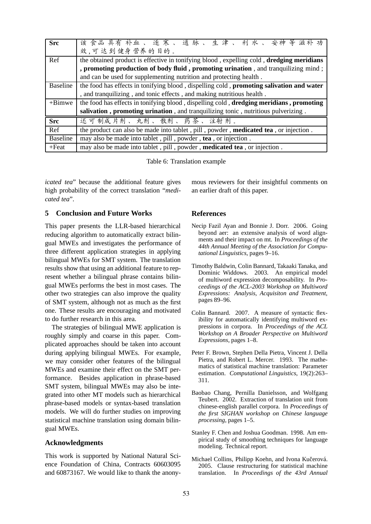| <b>Src</b>      | 该食品具有补血、逐寒、通脉、生津、利水、安神等滋补功                                                                             |  |
|-----------------|--------------------------------------------------------------------------------------------------------|--|
|                 | 效,可达到健身营养的目的。                                                                                          |  |
| Ref             | the obtained product is effective in tonifying blood, expelling cold, dredging meridians               |  |
|                 | , promoting production of body fluid, promoting urination, and tranquilizing mind;                     |  |
|                 | and can be used for supplementing nutrition and protecting health.                                     |  |
| Baseline        | the food has effects in tonifying blood, dispelling cold, promoting salivation and water               |  |
|                 | , and tranquilizing, and tonic effects, and making nutritious health.                                  |  |
| $+ B$ imwe      | the food has effects in tonifying blood, dispelling cold, <b>dredging meridians</b> , <b>promoting</b> |  |
|                 | salivation, promoting urination, and tranquilizing tonic, nutritious pulverizing.                      |  |
| <b>Src</b>      | 还可制成片剂、丸剂、散剂、药茶、注射剂。                                                                                   |  |
| Ref             | the product can also be made into tablet, pill, powder, medicated tea, or injection.                   |  |
| <b>Baseline</b> | may also be made into tablet, pill, powder, tea, or injection.                                         |  |
| $+Feat$         | may also be made into tablet, pill, powder, medicated tea, or injection.                               |  |

Table 6: Translation example

*icated tea*" because the additional feature gives high probability of the correct translation "*medicated tea*".

### **5 Conclusion and Future Works**

This paper presents the LLR-based hierarchical reducing algorithm to automatically extract bilingual MWEs and investigates the performance of three different application strategies in applying bilingual MWEs for SMT system. The translation results show that using an additional feature to represent whether a bilingual phrase contains bilingual MWEs performs the best in most cases. The other two strategies can also improve the quality of SMT system, although not as much as the first one. These results are encouraging and motivated to do further research in this area.

The strategies of bilingual MWE application is roughly simply and coarse in this paper. Complicated approaches should be taken into account during applying bilingual MWEs. For example, we may consider other features of the bilingual MWEs and examine their effect on the SMT performance. Besides application in phrase-based SMT system, bilingual MWEs may also be integrated into other MT models such as hierarchical phrase-based models or syntax-based translation models. We will do further studies on improving statistical machine translation using domain bilingual MWEs.

#### **Acknowledgments**

This work is supported by National Natural Science Foundation of China, Contracts 60603095 and 60873167. We would like to thank the anonymous reviewers for their insightful comments on an earlier draft of this paper.

### **References**

- Necip Fazil Ayan and Bonnie J. Dorr. 2006. Going beyond aer: an extensive analysis of word alignments and their impact on mt. In *Proceedings of the 44th Annual Meeting of the Association for Computational Linguistics*, pages 9–16.
- Timothy Baldwin, Colin Bannard, Takaaki Tanaka, and Dominic Widdows. 2003. An empirical model of multiword expression decomposability. In *Proceedings of the ACL-2003 Workshop on Multiword Expressions: Analysis, Acquisiton and Treatment*, pages 89–96.
- Colin Bannard. 2007. A measure of syntactic flexibility for automatically identifying multiword expressions in corpora. In *Proceedings of the ACL Workshop on A Broader Perspective on Multiword Expressions*, pages 1–8.
- Peter F. Brown, Stephen Della Pietra, Vincent J. Della Pietra, and Robert L. Mercer. 1993. The mathematics of statistical machine translation: Parameter estimation. *Computational Linguistics*, 19(2):263– 311.
- Baobao Chang, Pernilla Danielsson, and Wolfgang Teubert. 2002. Extraction of translation unit from chinese-english parallel corpora. In *Proceedings of the first SIGHAN workshop on Chinese language processing*, pages 1–5.
- Stanley F. Chen and Joshua Goodman. 1998. Am empirical study of smoothing techniques for language modeling. Technical report.
- Michael Collins, Philipp Koehn, and Ivona Kučerová. 2005. Clause restructuring for statistical machine translation. In *Proceedings of the 43rd Annual*